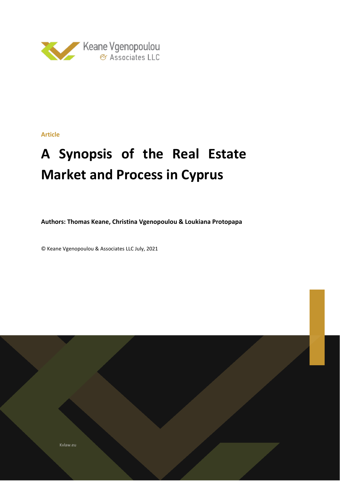

# **Article**

# **A Synopsis of the Real Estate Market and Process in Cyprus**

**Authors: Thomas Keane, Christina Vgenopoulou & Loukiana Protopapa**

© Keane Vgenopoulou & Associates LLC July, 2021

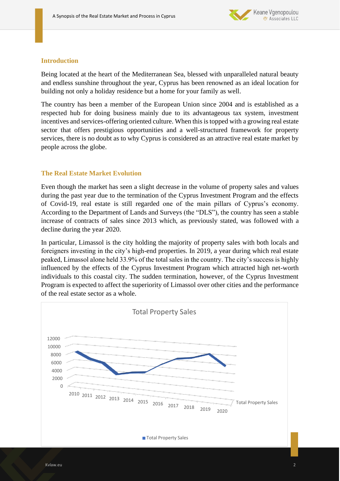

## **Introduction**

Being located at the heart of the Mediterranean Sea, blessed with unparalleled natural beauty and endless sunshine throughout the year, Cyprus has been renowned as an ideal location for building not only a holiday residence but a home for your family as well.

The country has been a member of the European Union since 2004 and is established as a respected hub for doing business mainly due to its advantageous tax system, investment incentives and services-offering oriented culture. When this is topped with a growing real estate sector that offers prestigious opportunities and a well-structured framework for property services, there is no doubt as to why Cyprus is considered as an attractive real estate market by people across the globe.

## **The Real Estate Market Evolution**

Even though the market has seen a slight decrease in the volume of property sales and values during the past year due to the termination of the Cyprus Investment Program and the effects of Covid-19, real estate is still regarded one of the main pillars of Cyprus's economy. According to the Department of Lands and Surveys (the "DLS"), the country has seen a stable increase of contracts of sales since 2013 which, as previously stated, was followed with a decline during the year 2020.

In particular, Limassol is the city holding the majority of property sales with both locals and foreigners investing in the city's high-end properties. In 2019, a year during which real estate peaked, Limassol alone held 33.9% of the total sales in the country. The city's success is highly influenced by the effects of the Cyprus Investment Program which attracted high net-worth individuals to this coastal city. The sudden termination, however, of the Cyprus Investment Program is expected to affect the superiority of Limassol over other cities and the performance of the real estate sector as a whole.

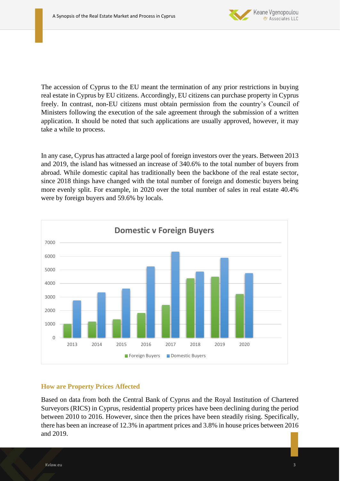

The accession of Cyprus to the EU meant the termination of any prior restrictions in buying real estate in Cyprus by EU citizens. Accordingly, EU citizens can purchase property in Cyprus freely. In contrast, non-EU citizens must obtain permission from the country's Council of Ministers following the execution of the sale agreement through the submission of a written application. It should be noted that such applications are usually approved, however, it may take a while to process.

In any case, Cyprus has attracted a large pool of foreign investors over the years. Between 2013 and 2019, the island has witnessed an increase of 340.6% to the total number of buyers from abroad. While domestic capital has traditionally been the backbone of the real estate sector, since 2018 things have changed with the total number of foreign and domestic buyers being more evenly split. For example, in 2020 over the total number of sales in real estate 40.4% were by foreign buyers and 59.6% by locals.



# **How are Property Prices Affected**

Based on data from both the Central Bank of Cyprus and the Royal Institution of Chartered Surveyors (RICS) in Cyprus, residential property prices have been declining during the period between 2010 to 2016. However, since then the prices have been steadily rising. Specifically, there has been an increase of 12.3% in apartment prices and 3.8% in house prices between 2016 and 2019.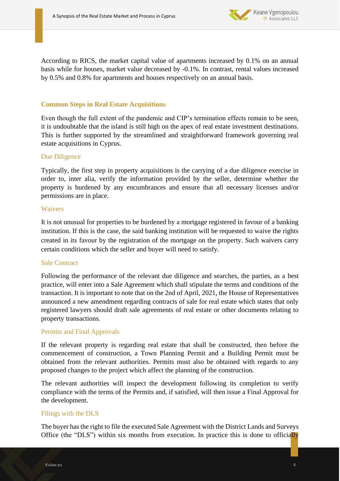

According to RICS, the market capital value of apartments increased by 0.1% on an annual basis while for houses, market value decreased by -0.1%. In contrast, rental values increased by 0.5% and 0.8% for apartments and houses respectively on an annual basis.

# **Common Steps in Real Estate Acquisitions**

Even though the full extent of the pandemic and CIP's termination effects remain to be seen, it is undoubtable that the island is still high on the apex of real estate investment destinations. This is further supported by the streamlined and straightforward framework governing real estate acquisitions in Cyprus.

## Due Diligence

Typically, the first step in property acquisitions is the carrying of a due diligence exercise in order to, inter alia, verify the information provided by the seller, determine whether the property is burdened by any encumbrances and ensure that all necessary licenses and/or permissions are in place.

#### Waivers

It is not unusual for properties to be burdened by a mortgage registered in favour of a banking institution. If this is the case, the said banking institution will be requested to waive the rights created in its favour by the registration of the mortgage on the property. Such waivers carry certain conditions which the seller and buyer will need to satisfy.

#### Sale Contract

Following the performance of the relevant due diligence and searches, the parties, as a best practice, will enter into a Sale Agreement which shall stipulate the terms and conditions of the transaction. It is important to note that on the 2nd of April, 2021, the House of Representatives announced a new amendment regarding contracts of sale for real estate which states that only registered lawyers should draft sale agreements of real estate or other documents relating to property transactions.

#### Permits and Final Approvals

If the relevant property is regarding real estate that shall be constructed, then before the commencement of construction, a Town Planning Permit and a Building Permit must be obtained from the relevant authorities. Permits must also be obtained with regards to any proposed changes to the project which affect the planning of the construction.

The relevant authorities will inspect the development following its completion to verify compliance with the terms of the Permits and, if satisfied, will then issue a Final Approval for the development.

#### Filings with the DLS

The buyer has the right to file the executed Sale Agreement with the District Lands and Surveys Office (the "DLS") within six months from execution. In practice this is done to officially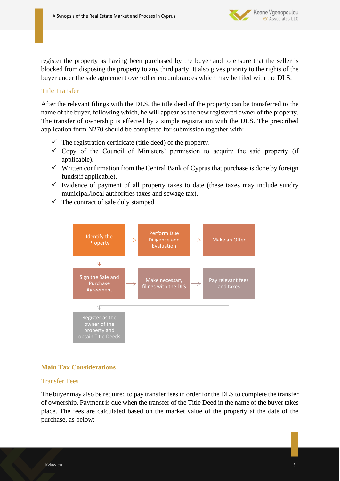

register the property as having been purchased by the buyer and to ensure that the seller is blocked from disposing the property to any third party. It also gives priority to the rights of the buyer under the sale agreement over other encumbrances which may be filed with the DLS.

# Title Transfer

After the relevant filings with the DLS, the title deed of the property can be transferred to the name of the buyer, following which, he will appear as the new registered owner of the property. The transfer of ownership is effected by a simple registration with the DLS. The prescribed application form N270 should be completed for submission together with:

- $\checkmark$  The registration certificate (title deed) of the property.
- $\checkmark$  Copy of the Council of Ministers' permission to acquire the said property (if applicable).
- $\checkmark$  Written confirmation from the Central Bank of Cyprus that purchase is done by foreign funds(if applicable).
- $\checkmark$  Evidence of payment of all property taxes to date (these taxes may include sundry municipal/local authorities taxes and sewage tax).
- $\checkmark$  The contract of sale duly stamped.



#### **Main Tax Considerations**

#### Transfer Fees

The buyer may also be required to pay transfer fees in order for the DLS to complete the transfer of ownership. Payment is due when the transfer of the Title Deed in the name of the buyer takes place. The fees are calculated based on the market value of the property at the date of the purchase, as below: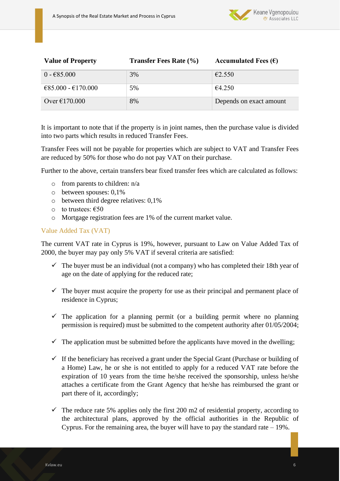

| <b>Value of Property</b> | <b>Transfer Fees Rate (%)</b> | Accumulated Fees $(\epsilon)$ |
|--------------------------|-------------------------------|-------------------------------|
| $0 - 685.000$            | 3%                            | $\epsilon$ 2.550              |
| €85.000 - €170.000       | 5%                            | €4.250                        |
| Over $\epsilon$ 170.000  | 8%                            | Depends on exact amount       |

It is important to note that if the property is in joint names, then the purchase value is divided into two parts which results in reduced Transfer Fees.

Transfer Fees will not be payable for properties which are subject to VAT and Transfer Fees are reduced by 50% for those who do not pay VAT on their purchase.

Further to the above, certain transfers bear fixed transfer fees which are calculated as follows:

- o from parents to children: n/a
- o between spouses: 0,1%
- o between third degree relatives: 0,1%
- o to trustees: €50
- o Mortgage registration fees are 1% of the current market value.

## Value Added Tax (VAT)

The current VAT rate in Cyprus is 19%, however, pursuant to Law on Value Added Tax of 2000, the buyer may pay only 5% VAT if several criteria are satisfied:

- $\checkmark$  The buyer must be an individual (not a company) who has completed their 18th year of age on the date of applying for the reduced rate;
- $\checkmark$  The buyer must acquire the property for use as their principal and permanent place of residence in Cyprus;
- $\checkmark$  The application for a planning permit (or a building permit where no planning permission is required) must be submitted to the competent authority after 01/05/2004;
- $\checkmark$  The application must be submitted before the applicants have moved in the dwelling;
- $\checkmark$  If the beneficiary has received a grant under the Special Grant (Purchase or building of a Home) Law, he or she is not entitled to apply for a reduced VAT rate before the expiration of 10 years from the time he/she received the sponsorship, unless he/she attaches a certificate from the Grant Agency that he/she has reimbursed the grant or part there of it, accordingly;
- $\checkmark$  The reduce rate 5% applies only the first 200 m2 of residential property, according to the architectural plans, approved by the official authorities in the Republic of Cyprus. For the remaining area, the buyer will have to pay the standard rate – 19%.